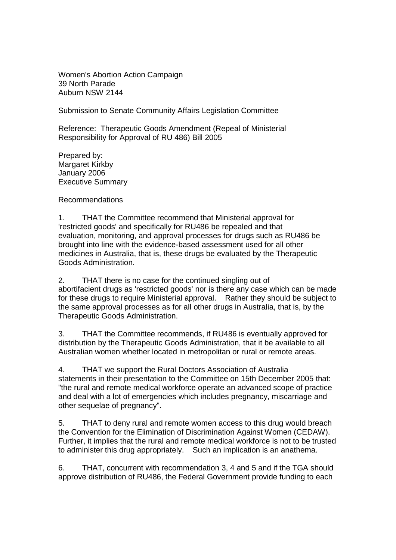Women's Abortion Action Campaign 39 North Parade Auburn NSW 2144

Submission to Senate Community Affairs Legislation Committee

Reference: Therapeutic Goods Amendment (Repeal of Ministerial Responsibility for Approval of RU 486) Bill 2005

Prepared by: Margaret Kirkby January 2006 Executive Summary

Recommendations

1. THAT the Committee recommend that Ministerial approval for 'restricted goods' and specifically for RU486 be repealed and that evaluation, monitoring, and approval processes for drugs such as RU486 be brought into line with the evidence-based assessment used for all other medicines in Australia, that is, these drugs be evaluated by the Therapeutic Goods Administration.

2. THAT there is no case for the continued singling out of abortifacient drugs as 'restricted goods' nor is there any case which can be made for these drugs to require Ministerial approval. Rather they should be subject to the same approval processes as for all other drugs in Australia, that is, by the Therapeutic Goods Administration.

3. THAT the Committee recommends, if RU486 is eventually approved for distribution by the Therapeutic Goods Administration, that it be available to all Australian women whether located in metropolitan or rural or remote areas.

4. THAT we support the Rural Doctors Association of Australia statements in their presentation to the Committee on 15th December 2005 that: "the rural and remote medical workforce operate an advanced scope of practice and deal with a lot of emergencies which includes pregnancy, miscarriage and other sequelae of pregnancy".

5. THAT to deny rural and remote women access to this drug would breach the Convention for the Elimination of Discrimination Against Women (CEDAW). Further, it implies that the rural and remote medical workforce is not to be trusted to administer this drug appropriately. Such an implication is an anathema.

6. THAT, concurrent with recommendation 3, 4 and 5 and if the TGA should approve distribution of RU486, the Federal Government provide funding to each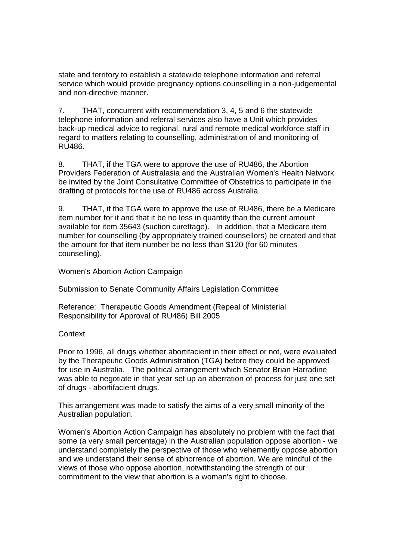state and territory to establish a statewide telephone information and referral service which would provide pregnancy options counselling in a non-judgemental and non-directive manner.

7. THAT, concurrent with recommendation 3, 4, 5 and 6 the statewide telephone information and referral services also have a Unit which provides back-up medical advice to regional, rural and remote medical workforce staff in regard to matters relating to counselling, administration of and monitoring of RU486.

8. THAT, if the TGA were to approve the use of RU486, the Abortion Providers Federation of Australasia and the Australian Women's Health Network be invited by the Joint Consultative Committee of Obstetrics to participate in the drafting of protocols for the use of RU486 across Australia.

9. THAT, if the TGA were to approve the use of RU486, there be a Medicare item number for it and that it be no less in quantity than the current amount available for item 35643 (suction curettage). In addition, that a Medicare item number for counselling (by appropriately trained counsellors) be created and that the amount for that item number be no less than \$120 (for 60 minutes counselling).

Women's Abortion Action Campaign

Submission to Senate Community Affairs Legislation Committee

Reference: Therapeutic Goods Amendment (Repeal of Ministerial Responsibility for Approval of RU486) Bill 2005

# **Context**

Prior to 1996, all drugs whether abortifacient in their effect or not, were evaluated by the Therapeutic Goods Administration (TGA) before they could be approved for use in Australia. The political arrangement which Senator Brian Harradine was able to negotiate in that year set up an aberration of process for just one set of drugs - abortifacient drugs.

This arrangement was made to satisfy the aims of a very small minority of the Australian population.

Women's Abortion Action Campaign has absolutely no problem with the fact that some (a very small percentage) in the Australian population oppose abortion - we understand completely the perspective of those who vehemently oppose abortion and we understand their sense of abhorrence of abortion. We are mindful of the views of those who oppose abortion, notwithstanding the strength of our commitment to the view that abortion is a woman's right to choose.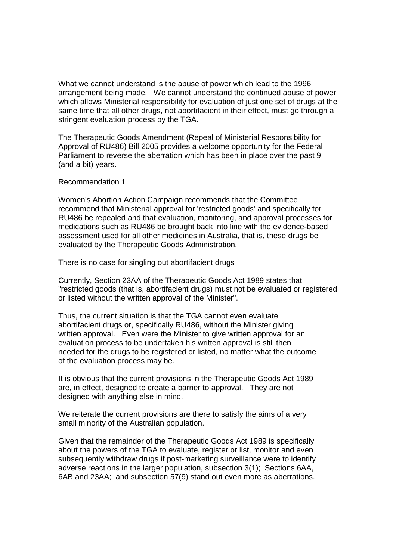What we cannot understand is the abuse of power which lead to the 1996 arrangement being made. We cannot understand the continued abuse of power which allows Ministerial responsibility for evaluation of just one set of drugs at the same time that all other drugs, not abortifacient in their effect, must go through a stringent evaluation process by the TGA.

The Therapeutic Goods Amendment (Repeal of Ministerial Responsibility for Approval of RU486) Bill 2005 provides a welcome opportunity for the Federal Parliament to reverse the aberration which has been in place over the past 9 (and a bit) years.

#### Recommendation 1

Women's Abortion Action Campaign recommends that the Committee recommend that Ministerial approval for 'restricted goods' and specifically for RU486 be repealed and that evaluation, monitoring, and approval processes for medications such as RU486 be brought back into line with the evidence-based assessment used for all other medicines in Australia, that is, these drugs be evaluated by the Therapeutic Goods Administration.

There is no case for singling out abortifacient drugs

Currently, Section 23AA of the Therapeutic Goods Act 1989 states that "restricted goods (that is, abortifacient drugs) must not be evaluated or registered or listed without the written approval of the Minister".

Thus, the current situation is that the TGA cannot even evaluate abortifacient drugs or, specifically RU486, without the Minister giving written approval. Even were the Minister to give written approval for an evaluation process to be undertaken his written approval is still then needed for the drugs to be registered or listed, no matter what the outcome of the evaluation process may be.

It is obvious that the current provisions in the Therapeutic Goods Act 1989 are, in effect, designed to create a barrier to approval. They are not designed with anything else in mind.

We reiterate the current provisions are there to satisfy the aims of a very small minority of the Australian population.

Given that the remainder of the Therapeutic Goods Act 1989 is specifically about the powers of the TGA to evaluate, register or list, monitor and even subsequently withdraw drugs if post-marketing surveillance were to identify adverse reactions in the larger population, subsection 3(1); Sections 6AA, 6AB and 23AA; and subsection 57(9) stand out even more as aberrations.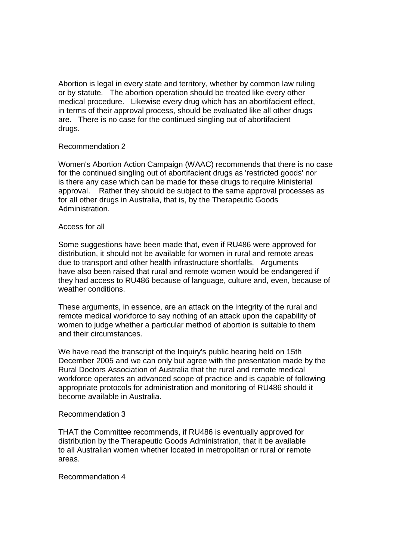Abortion is legal in every state and territory, whether by common law ruling or by statute. The abortion operation should be treated like every other medical procedure. Likewise every drug which has an abortifacient effect, in terms of their approval process, should be evaluated like all other drugs are. There is no case for the continued singling out of abortifacient drugs.

# Recommendation 2

Women's Abortion Action Campaign (WAAC) recommends that there is no case for the continued singling out of abortifacient drugs as 'restricted goods' nor is there any case which can be made for these drugs to require Ministerial approval. Rather they should be subject to the same approval processes as for all other drugs in Australia, that is, by the Therapeutic Goods Administration.

## Access for all

Some suggestions have been made that, even if RU486 were approved for distribution, it should not be available for women in rural and remote areas due to transport and other health infrastructure shortfalls. Arguments have also been raised that rural and remote women would be endangered if they had access to RU486 because of language, culture and, even, because of weather conditions.

These arguments, in essence, are an attack on the integrity of the rural and remote medical workforce to say nothing of an attack upon the capability of women to judge whether a particular method of abortion is suitable to them and their circumstances.

We have read the transcript of the Inquiry's public hearing held on 15th December 2005 and we can only but agree with the presentation made by the Rural Doctors Association of Australia that the rural and remote medical workforce operates an advanced scope of practice and is capable of following appropriate protocols for administration and monitoring of RU486 should it become available in Australia.

#### Recommendation 3

THAT the Committee recommends, if RU486 is eventually approved for distribution by the Therapeutic Goods Administration, that it be available to all Australian women whether located in metropolitan or rural or remote areas.

# Recommendation 4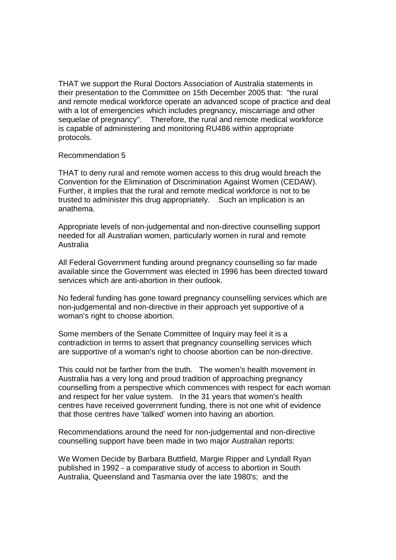THAT we support the Rural Doctors Association of Australia statements in their presentation to the Committee on 15th December 2005 that: "the rural and remote medical workforce operate an advanced scope of practice and deal with a lot of emergencies which includes pregnancy, miscarriage and other sequelae of pregnancy". Therefore, the rural and remote medical workforce is capable of administering and monitoring RU486 within appropriate protocols.

## Recommendation 5

THAT to deny rural and remote women access to this drug would breach the Convention for the Elimination of Discrimination Against Women (CEDAW). Further, it implies that the rural and remote medical workforce is not to be trusted to administer this drug appropriately. Such an implication is an anathema.

Appropriate levels of non-judgemental and non-directive counselling support needed for all Australian women, particularly women in rural and remote Australia

All Federal Government funding around pregnancy counselling so far made available since the Government was elected in 1996 has been directed toward services which are anti-abortion in their outlook.

No federal funding has gone toward pregnancy counselling services which are non-judgemental and non-directive in their approach yet supportive of a woman's right to choose abortion.

Some members of the Senate Committee of Inquiry may feel it is a contradiction in terms to assert that pregnancy counselling services which are supportive of a woman's right to choose abortion can be non-directive.

This could not be farther from the truth. The women's health movement in Australia has a very long and proud tradition of approaching pregnancy counselling from a perspective which commences with respect for each woman and respect for her value system. In the 31 years that women's health centres have received government funding, there is not one whit of evidence that those centres have 'talked' women into having an abortion.

Recommendations around the need for non-judgemental and non-directive counselling support have been made in two major Australian reports:

We Women Decide by Barbara Buttfield, Margie Ripper and Lyndall Ryan published in 1992 - a comparative study of access to abortion in South Australia, Queensland and Tasmania over the late 1980's; and the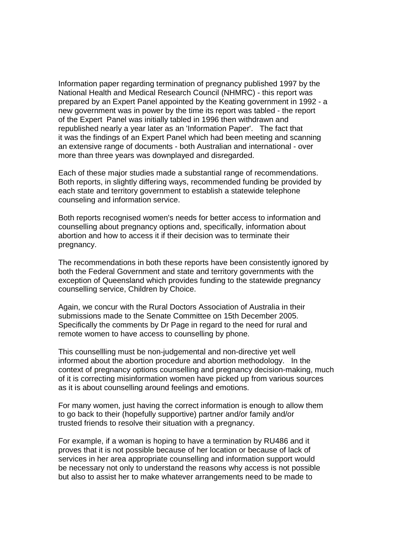Information paper regarding termination of pregnancy published 1997 by the National Health and Medical Research Council (NHMRC) - this report was prepared by an Expert Panel appointed by the Keating government in 1992 - a new government was in power by the time its report was tabled - the report of the Expert Panel was initially tabled in 1996 then withdrawn and republished nearly a year later as an 'Information Paper'. The fact that it was the findings of an Expert Panel which had been meeting and scanning an extensive range of documents - both Australian and international - over more than three years was downplayed and disregarded.

Each of these major studies made a substantial range of recommendations. Both reports, in slightly differing ways, recommended funding be provided by each state and territory government to establish a statewide telephone counseling and information service.

Both reports recognised women's needs for better access to information and counselling about pregnancy options and, specifically, information about abortion and how to access it if their decision was to terminate their pregnancy.

The recommendations in both these reports have been consistently ignored by both the Federal Government and state and territory governments with the exception of Queensland which provides funding to the statewide pregnancy counselling service, Children by Choice.

Again, we concur with the Rural Doctors Association of Australia in their submissions made to the Senate Committee on 15th December 2005. Specifically the comments by Dr Page in regard to the need for rural and remote women to have access to counselling by phone.

This counsellling must be non-judgemental and non-directive yet well informed about the abortion procedure and abortion methodology. In the context of pregnancy options counselling and pregnancy decision-making, much of it is correcting misinformation women have picked up from various sources as it is about counselling around feelings and emotions.

For many women, just having the correct information is enough to allow them to go back to their (hopefully supportive) partner and/or family and/or trusted friends to resolve their situation with a pregnancy.

For example, if a woman is hoping to have a termination by RU486 and it proves that it is not possible because of her location or because of lack of services in her area appropriate counselling and information support would be necessary not only to understand the reasons why access is not possible but also to assist her to make whatever arrangements need to be made to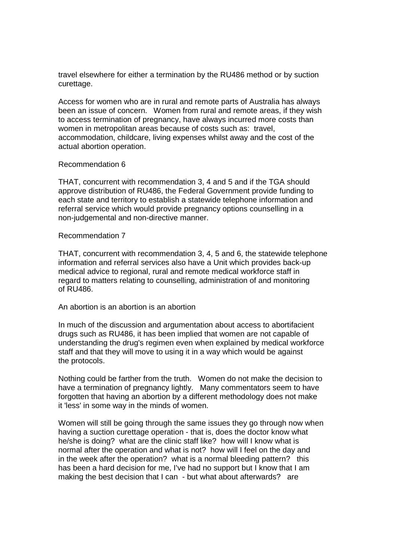travel elsewhere for either a termination by the RU486 method or by suction curettage.

Access for women who are in rural and remote parts of Australia has always been an issue of concern. Women from rural and remote areas, if they wish to access termination of pregnancy, have always incurred more costs than women in metropolitan areas because of costs such as: travel, accommodation, childcare, living expenses whilst away and the cost of the actual abortion operation.

## Recommendation 6

THAT, concurrent with recommendation 3, 4 and 5 and if the TGA should approve distribution of RU486, the Federal Government provide funding to each state and territory to establish a statewide telephone information and referral service which would provide pregnancy options counselling in a non-judgemental and non-directive manner.

## Recommendation 7

THAT, concurrent with recommendation 3, 4, 5 and 6, the statewide telephone information and referral services also have a Unit which provides back-up medical advice to regional, rural and remote medical workforce staff in regard to matters relating to counselling, administration of and monitoring of RU486.

An abortion is an abortion is an abortion

In much of the discussion and argumentation about access to abortifacient drugs such as RU486, it has been implied that women are not capable of understanding the drug's regimen even when explained by medical workforce staff and that they will move to using it in a way which would be against the protocols.

Nothing could be farther from the truth. Women do not make the decision to have a termination of pregnancy lightly. Many commentators seem to have forgotten that having an abortion by a different methodology does not make it 'less' in some way in the minds of women.

Women will still be going through the same issues they go through now when having a suction curettage operation - that is, does the doctor know what he/she is doing? what are the clinic staff like? how will I know what is normal after the operation and what is not? how will I feel on the day and in the week after the operation? what is a normal bleeding pattern? this has been a hard decision for me, I've had no support but I know that I am making the best decision that I can - but what about afterwards? are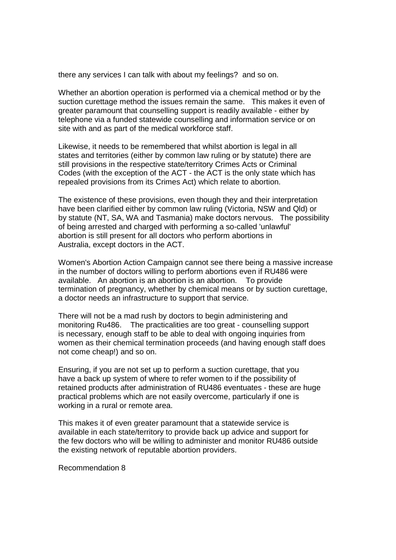there any services I can talk with about my feelings? and so on.

Whether an abortion operation is performed via a chemical method or by the suction curettage method the issues remain the same. This makes it even of greater paramount that counselling support is readily available - either by telephone via a funded statewide counselling and information service or on site with and as part of the medical workforce staff.

Likewise, it needs to be remembered that whilst abortion is legal in all states and territories (either by common law ruling or by statute) there are still provisions in the respective state/territory Crimes Acts or Criminal Codes (with the exception of the ACT - the ACT is the only state which has repealed provisions from its Crimes Act) which relate to abortion.

The existence of these provisions, even though they and their interpretation have been clarified either by common law ruling (Victoria, NSW and Qld) or by statute (NT, SA, WA and Tasmania) make doctors nervous. The possibility of being arrested and charged with performing a so-called 'unlawful' abortion is still present for all doctors who perform abortions in Australia, except doctors in the ACT.

Women's Abortion Action Campaign cannot see there being a massive increase in the number of doctors willing to perform abortions even if RU486 were available. An abortion is an abortion is an abortion. To provide termination of pregnancy, whether by chemical means or by suction curettage, a doctor needs an infrastructure to support that service.

There will not be a mad rush by doctors to begin administering and monitoring Ru486. The practicalities are too great - counselling support is necessary, enough staff to be able to deal with ongoing inquiries from women as their chemical termination proceeds (and having enough staff does not come cheap!) and so on.

Ensuring, if you are not set up to perform a suction curettage, that you have a back up system of where to refer women to if the possibility of retained products after administration of RU486 eventuates - these are huge practical problems which are not easily overcome, particularly if one is working in a rural or remote area.

This makes it of even greater paramount that a statewide service is available in each state/territory to provide back up advice and support for the few doctors who will be willing to administer and monitor RU486 outside the existing network of reputable abortion providers.

Recommendation 8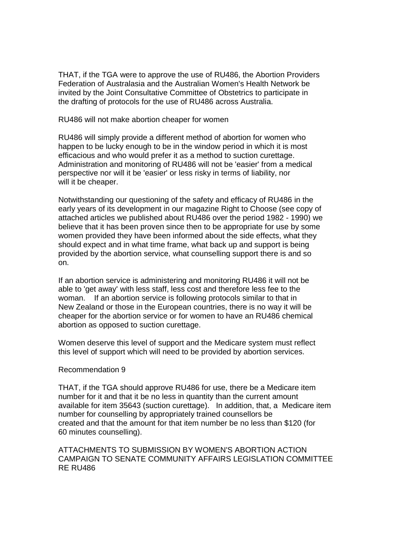THAT, if the TGA were to approve the use of RU486, the Abortion Providers Federation of Australasia and the Australian Women's Health Network be invited by the Joint Consultative Committee of Obstetrics to participate in the drafting of protocols for the use of RU486 across Australia.

RU486 will not make abortion cheaper for women

RU486 will simply provide a different method of abortion for women who happen to be lucky enough to be in the window period in which it is most efficacious and who would prefer it as a method to suction curettage. Administration and monitoring of RU486 will not be 'easier' from a medical perspective nor will it be 'easier' or less risky in terms of liability, nor will it be cheaper.

Notwithstanding our questioning of the safety and efficacy of RU486 in the early years of its development in our magazine Right to Choose (see copy of attached articles we published about RU486 over the period 1982 - 1990) we believe that it has been proven since then to be appropriate for use by some women provided they have been informed about the side effects, what they should expect and in what time frame, what back up and support is being provided by the abortion service, what counselling support there is and so on.

If an abortion service is administering and monitoring RU486 it will not be able to 'get away' with less staff, less cost and therefore less fee to the woman. If an abortion service is following protocols similar to that in New Zealand or those in the European countries, there is no way it will be cheaper for the abortion service or for women to have an RU486 chemical abortion as opposed to suction curettage.

Women deserve this level of support and the Medicare system must reflect this level of support which will need to be provided by abortion services.

# Recommendation 9

THAT, if the TGA should approve RU486 for use, there be a Medicare item number for it and that it be no less in quantity than the current amount available for item 35643 (suction curettage). In addition, that, a Medicare item number for counselling by appropriately trained counsellors be created and that the amount for that item number be no less than \$120 (for 60 minutes counselling).

ATTACHMENTS TO SUBMISSION BY WOMEN'S ABORTION ACTION CAMPAIGN TO SENATE COMMUNITY AFFAIRS LEGISLATION COMMITTEE RE RU486